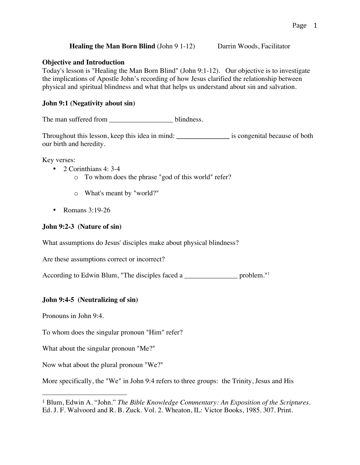## **Healing the Man Born Blind** (John 9 1-12) Darrin Woods, Facilitator

#### **Objective and Introduction**

Today's lesson is "Healing the Man Born Blind" (John 9:1-12). Our objective is to investigate the implications of Apostle John's recording of how Jesus clarified the relationship between physical and spiritual blindness and what that helps us understand about sin and salvation.

## **John 9:1 (Negativity about sin)**

The man suffered from blindness.

Throughout this lesson, keep this idea in mind: **\_\_\_\_\_\_\_\_\_\_\_\_\_\_\_** is congenital because of both our birth and heredity.

Key verses:

- 2 Corinthians 4: 3-4
	- o To whom does the phrase "god of this world" refer?
	- o What's meant by "world?"
- Romans 3:19-26

## **John 9:2-3 (Nature of sin)**

What assumptions do Jesus' disciples make about physical blindness?

Are these assumptions correct or incorrect?

According to Edwin Blum, "The disciples faced a \_\_\_\_\_\_\_\_\_\_\_\_\_\_\_\_\_\_ problem."<sup>1</sup>

#### **John 9:4-5 (Neutralizing of sin)**

Pronouns in John 9:4.

To whom does the singular pronoun "Him" refer?

What about the singular pronoun "Me?"

 

Now what about the plural pronoun "We?"

More specifically, the "We" in John 9:4 refers to three groups: the Trinity, Jesus and His

<sup>1</sup> Blum, Edwin A. "John." *The Bible Knowledge Commentary: An Exposition of the Scriptures*. Ed. J. F. Walvoord and R. B. Zuck. Vol. 2. Wheaton, IL: Victor Books, 1985. 307. Print.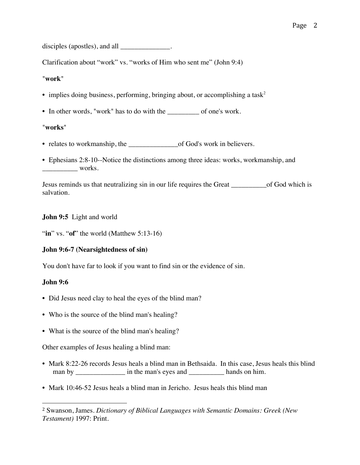disciples (apostles), and all \_\_\_\_\_\_\_\_\_\_\_\_\_\_\_.

Clarification about "work" vs. "works of Him who sent me" (John 9:4)

#### "**work**"

- implies doing business, performing, bringing about, or accomplishing a task<sup>2</sup>
- In other words, "work" has to do with the \_\_\_\_\_\_\_\_\_ of one's work.

## "**works**"

- relates to workmanship, the \_\_\_\_\_\_\_\_\_\_\_\_\_\_\_\_\_\_\_of God's work in believers.
- Ephesians 2:8-10--Notice the distinctions among three ideas: works, workmanship, and works.

Jesus reminds us that neutralizing sin in our life requires the Great \_\_\_\_\_\_\_\_\_\_of God which is salvation.

# **John 9:5** Light and world

"**in**" vs. "**of**" the world (Matthew 5:13-16)

# **John 9:6-7 (Nearsightedness of sin)**

You don't have far to look if you want to find sin or the evidence of sin.

# **John 9:6**

- Did Jesus need clay to heal the eyes of the blind man?
- Who is the source of the blind man's healing?
- What is the source of the blind man's healing?

Other examples of Jesus healing a blind man:

 

- Mark 8:22-26 records Jesus heals a blind man in Bethsaida. In this case, Jesus heals this blind man by  $\qquad \qquad$  in the man's eyes and  $\qquad \qquad$  hands on him.
- Mark 10:46-52 Jesus heals a blind man in Jericho. Jesus heals this blind man

<sup>2</sup> Swanson, James. *Dictionary of Biblical Languages with Semantic Domains: Greek (New Testament)* 1997: Print.